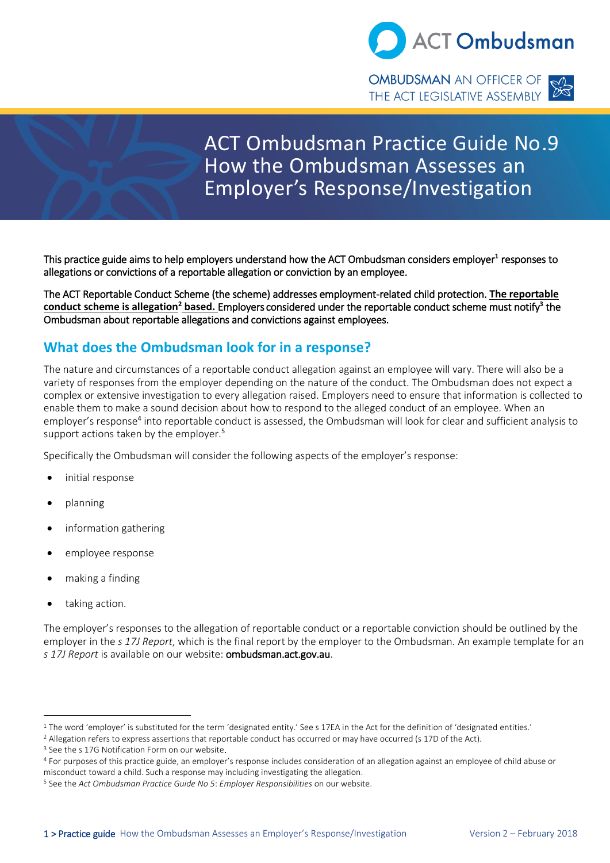

THE ACT LEGISLATIVE ASSEMBLY



# ACT Ombudsman Practice Guide No.9 How the Ombudsman Assesses an Employer's Response/Investigation

This practice guide aims to help employers understand how the ACT Ombudsman considers employer<sup>1</sup> responses to allegations or convictions of a reportable allegation or conviction by an employee.

The ACT Reportable Conduct Scheme (the scheme) addresses employment-related child protection. **The reportable**  conduct scheme is allegation<sup>2</sup> based. Employers considered under the reportable conduct scheme must notify<sup>3</sup> the Ombudsman about reportable allegations and convictions against employees.

# **What does the Ombudsman look for in a response?**

The nature and circumstances of a reportable conduct allegation against an employee will vary. There will also be a variety of responses from the employer depending on the nature of the conduct. The Ombudsman does not expect a complex or extensive investigation to every allegation raised. Employers need to ensure that information is collected to enable them to make a sound decision about how to respond to the alleged conduct of an employee. When an employer's response<sup>4</sup> into reportable conduct is assessed, the Ombudsman will look for clear and sufficient analysis to support actions taken by the employer.<sup>5</sup>

Specifically the Ombudsman will consider the following aspects of the employer's response:

- initial response
- planning
- information gathering
- employee response
- making a finding
- taking action.

The employer's responses to the allegation of reportable conduct or a reportable conviction should be outlined by the employer in the *s 17J Report*, which is the final report by the employer to the Ombudsman. An example template for an *s 17J Report* is available on our website: ombudsman.act.gov.au.

<sup>&</sup>lt;sup>1</sup> The word 'employer' is substituted for the term 'designated entity.' See s 17EA in the Act for the definition of 'designated entities.'

<sup>2</sup> Allegation refers to express assertions that reportable conduct has occurred or may have occurred (s 17D of the Act).

<sup>&</sup>lt;sup>3</sup> See the s 17G Notification Form on our website.

<sup>4</sup> For purposes of this practice guide, an employer's response includes consideration of an allegation against an employee of child abuse or misconduct toward a child. Such a response may including investigating the allegation.

<sup>5</sup> See the *Act Ombudsman Practice Guide No 5*: *Employer Responsibilities* on our website.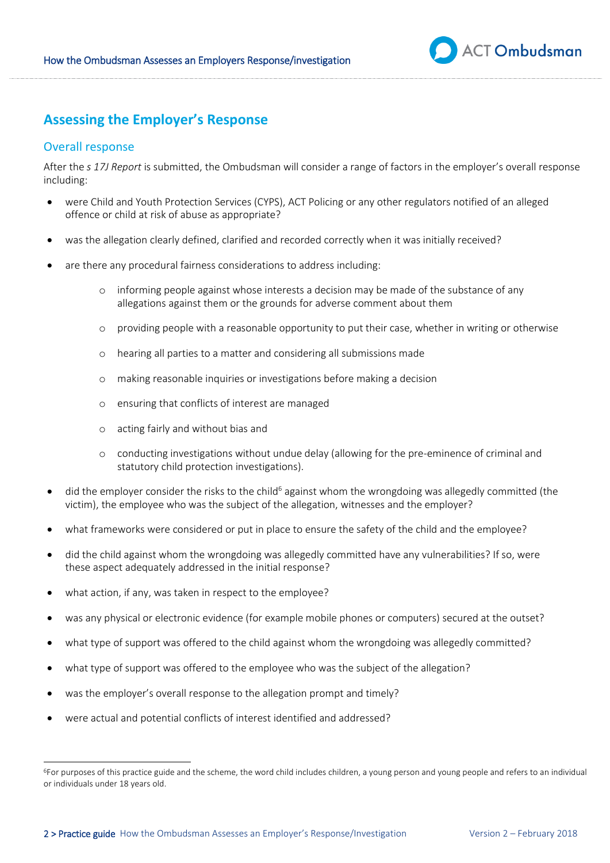

# **Assessing the Employer's Response**

## Overall response

After the *s 17J Report* is submitted, the Ombudsman will consider a range of factors in the employer's overall response including:

- were Child and Youth Protection Services (CYPS), ACT Policing or any other regulators notified of an alleged offence or child at risk of abuse as appropriate?
- was the allegation clearly defined, clarified and recorded correctly when it was initially received?
- are there any procedural fairness considerations to address including:
	- o informing people against whose interests a decision may be made of the substance of any allegations against them or the grounds for adverse comment about them
	- o providing people with a reasonable opportunity to put their case, whether in writing or otherwise
	- o hearing all parties to a matter and considering all submissions made
	- o making reasonable inquiries or investigations before making a decision
	- o ensuring that conflicts of interest are managed
	- o acting fairly and without bias and
	- o conducting investigations without undue delay (allowing for the pre-eminence of criminal and statutory child protection investigations).
- $\bullet$  did the employer consider the risks to the child<sup>6</sup> against whom the wrongdoing was allegedly committed (the victim), the employee who was the subject of the allegation, witnesses and the employer?
- what frameworks were considered or put in place to ensure the safety of the child and the employee?
- did the child against whom the wrongdoing was allegedly committed have any vulnerabilities? If so, were these aspect adequately addressed in the initial response?
- what action, if any, was taken in respect to the employee?
- was any physical or electronic evidence (for example mobile phones or computers) secured at the outset?
- what type of support was offered to the child against whom the wrongdoing was allegedly committed?
- what type of support was offered to the employee who was the subject of the allegation?
- was the employer's overall response to the allegation prompt and timely?
- were actual and potential conflicts of interest identified and addressed?

<sup>6</sup>For purposes of this practice guide and the scheme, the word child includes children, a young person and young people and refers to an individual or individuals under 18 years old.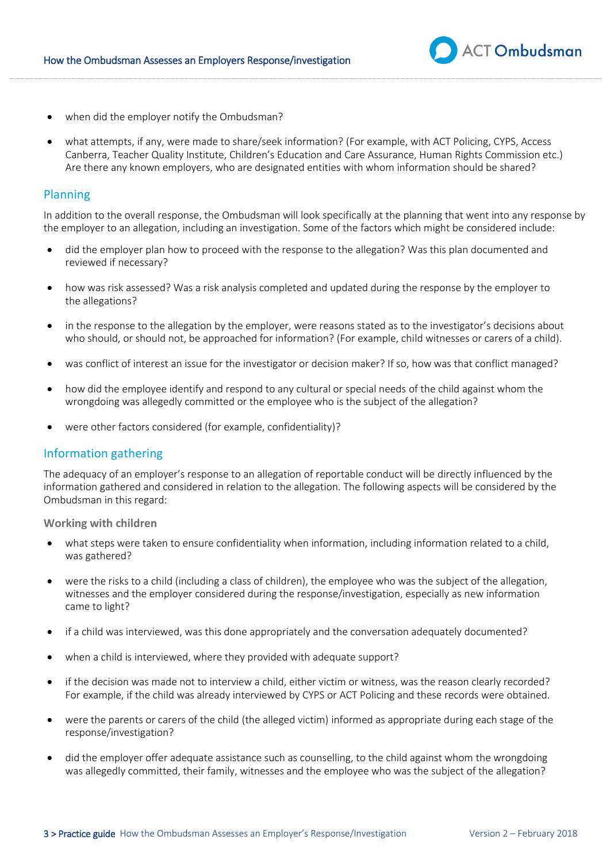

- when did the employer notify the Ombudsman?
- what attempts, if any, were made to share/seek information? (For example, with ACT Policing, CYPS, Access Canberra, Teacher Quality Institute, Children's Education and Care Assurance, Human Rights Commission etc.) Are there any known employers, who are designated entities with whom information should be shared?

## Planning

In addition to the overall response, the Ombudsman will look specifically at the planning that went into any response by the employer to an allegation, including an investigation. Some of the factors which might be considered include:

- did the employer plan how to proceed with the response to the allegation? Was this plan documented and reviewed if necessary?
- how was risk assessed? Was a risk analysis completed and updated during the response by the employer to the allegations?
- in the response to the allegation by the employer, were reasons stated as to the investigator's decisions about who should, or should not, be approached for information? (For example, child witnesses or carers of a child).
- was conflict of interest an issue for the investigator or decision maker? If so, how was that conflict managed?
- how did the employee identify and respond to any cultural or special needs of the child against whom the wrongdoing was allegedly committed or the employee who is the subject of the allegation?
- were other factors considered (for example, confidentiality)?

## Information gathering

The adequacy of an employer's response to an allegation of reportable conduct will be directly influenced by the information gathered and considered in relation to the allegation. The following aspects will be considered by the Ombudsman in this regard:

**Working with children** 

- what steps were taken to ensure confidentiality when information, including information related to a child, was gathered?
- were the risks to a child (including a class of children), the employee who was the subject of the allegation, witnesses and the employer considered during the response/investigation, especially as new information came to light?
- if a child was interviewed, was this done appropriately and the conversation adequately documented?
- when a child is interviewed, where they provided with adequate support?
- if the decision was made not to interview a child, either victim or witness, was the reason clearly recorded? For example, if the child was already interviewed by CYPS or ACT Policing and these records were obtained.
- were the parents or carers of the child (the alleged victim) informed as appropriate during each stage of the response/investigation?
- did the employer offer adequate assistance such as counselling, to the child against whom the wrongdoing was allegedly committed, their family, witnesses and the employee who was the subject of the allegation?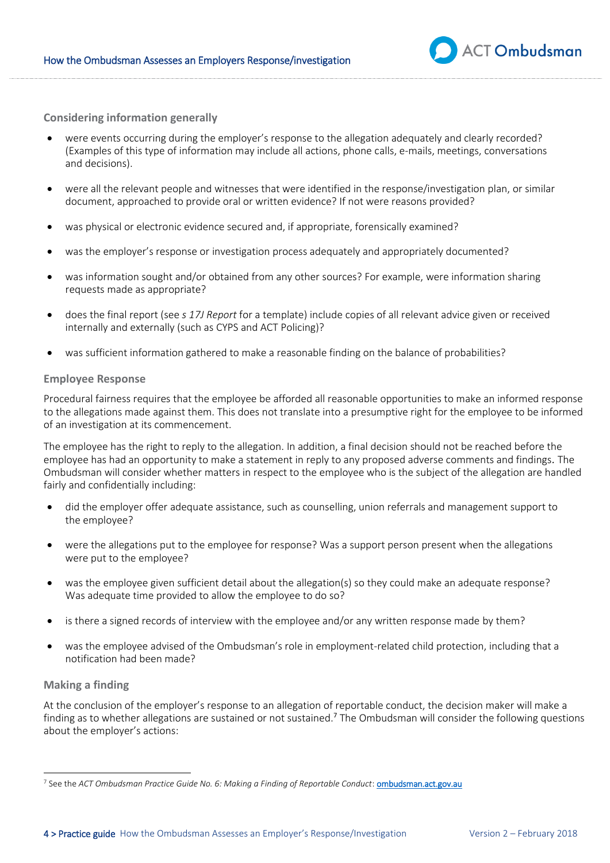

**Considering information generally** 

- were events occurring during the employer's response to the allegation adequately and clearly recorded? (Examples of this type of information may include all actions, phone calls, e-mails, meetings, conversations and decisions).
- were all the relevant people and witnesses that were identified in the response/investigation plan, or similar document, approached to provide oral or written evidence? If not were reasons provided?
- was physical or electronic evidence secured and, if appropriate, forensically examined?
- was the employer's response or investigation process adequately and appropriately documented?
- was information sought and/or obtained from any other sources? For example, were information sharing requests made as appropriate?
- does the final report (see *s 17J Report* for a template) include copies of all relevant advice given or received internally and externally (such as CYPS and ACT Policing)?
- was sufficient information gathered to make a reasonable finding on the balance of probabilities?

#### **Employee Response**

Procedural fairness requires that the employee be afforded all reasonable opportunities to make an informed response to the allegations made against them. This does not translate into a presumptive right for the employee to be informed of an investigation at its commencement.

The employee has the right to reply to the allegation. In addition, a final decision should not be reached before the employee has had an opportunity to make a statement in reply to any proposed adverse comments and findings*.* The Ombudsman will consider whether matters in respect to the employee who is the subject of the allegation are handled fairly and confidentially including:

- did the employer offer adequate assistance, such as counselling, union referrals and management support to the employee?
- were the allegations put to the employee for response? Was a support person present when the allegations were put to the employee?
- was the employee given sufficient detail about the allegation(s) so they could make an adequate response? Was adequate time provided to allow the employee to do so?
- is there a signed records of interview with the employee and/or any written response made by them?
- was the employee advised of the Ombudsman's role in employment-related child protection, including that a notification had been made?

#### **Making a finding**

At the conclusion of the employer's response to an allegation of reportable conduct, the decision maker will make a finding as to whether allegations are sustained or not sustained.<sup>7</sup> The Ombudsman will consider the following questions about the employer's actions:

<sup>&</sup>lt;sup>7</sup> See the ACT Ombudsman Practice Guide No. 6: Making a Finding of Reportable Conduct: <u>ombu<mark>dsman.act.gov.au</mark></u>